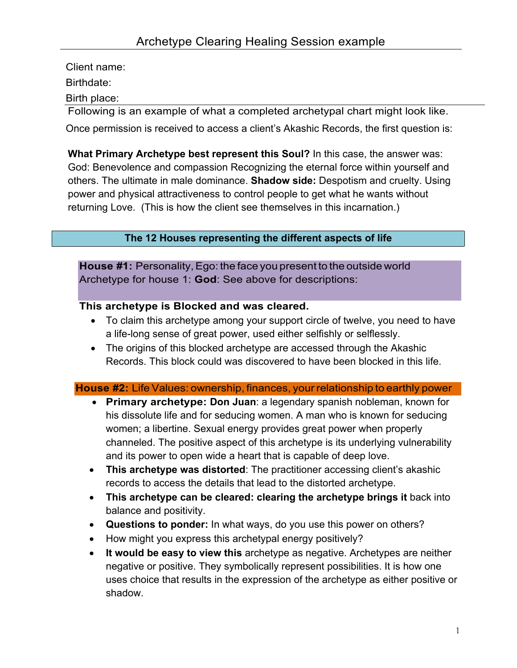Client name:

Birthdate:

Birth place:

Following is an example of what a completed archetypal chart might look like.

Once permission is received to access a client's Akashic Records, the first question is:

**What Primary Archetype best represent this Soul?** In this case, the answer was: God: Benevolence and compassion Recognizing the eternal force within yourself and others. The ultimate in male dominance. **Shadow side:** Despotism and cruelty. Using power and physical attractiveness to control people to get what he wants without returning Love. (This is how the client see themselves in this incarnation.)

## **The 12 Houses representing the different aspects of life**

**House #1:** Personality, Ego: the face you present to the outside world Archetype for house 1: **God**: See above for descriptions:

### **This archetype is Blocked and was cleared.**

- To claim this archetype among your support circle of twelve, you need to have a life-long sense of great power, used either selfishly or selflessly.
- The origins of this blocked archetype are accessed through the Akashic Records. This block could was discovered to have been blocked in this life.

#### **House #2:** Life Values: ownership, finances, your relationship to earthly power

- **Primary archetype: Don Juan**: a legendary spanish nobleman, known for his dissolute life and for seducing women. A man who is known for seducing women; a libertine. Sexual energy provides great power when properly channeled. The positive aspect of this archetype is its underlying vulnerability and its power to open wide a heart that is capable of deep love.
- **This archetype was distorted**: The practitioner accessing client's akashic records to access the details that lead to the distorted archetype.
- **This archetype can be cleared: clearing the archetype brings it** back into balance and positivity.
- **Questions to ponder:** In what ways, do you use this power on others?
- How might you express this archetypal energy positively?
- **It would be easy to view this** archetype as negative. Archetypes are neither negative or positive. They symbolically represent possibilities. It is how one uses choice that results in the expression of the archetype as either positive or shadow.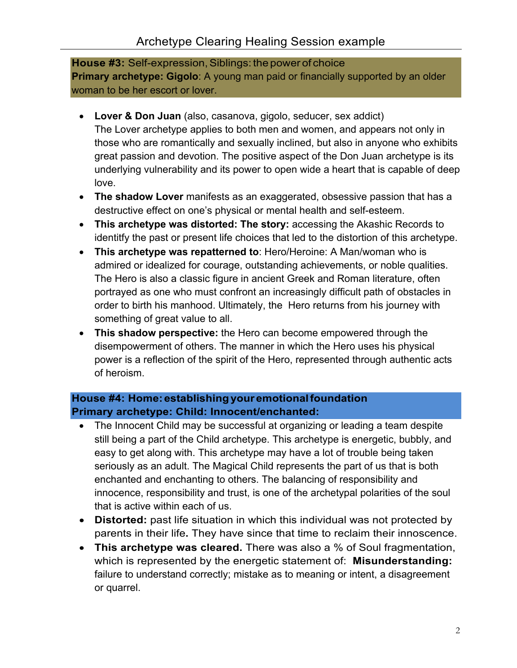**House #3:** Self-expression, Siblings: the power of choice **Primary archetype: Gigolo**: A young man paid or financially supported by an older woman to be her escort or lover.

- **Lover & Don Juan** (also, casanova, gigolo, seducer, sex addict) The Lover archetype applies to both men and women, and appears not only in those who are romantically and sexually inclined, but also in anyone who exhibits great passion and devotion. The positive aspect of the Don Juan archetype is its underlying vulnerability and its power to open wide a heart that is capable of deep love.
- **The shadow Lover** manifests as an exaggerated, obsessive passion that has a destructive effect on one's physical or mental health and self-esteem.
- **This archetype was distorted: The story:** accessing the Akashic Records to identitfy the past or present life choices that led to the distortion of this archetype.
- **This archetype was repatterned to**: Hero/Heroine: A Man/woman who is admired or idealized for courage, outstanding achievements, or noble qualities. The Hero is also a classic figure in ancient Greek and Roman literature, often portrayed as one who must confront an increasingly difficult path of obstacles in order to birth his manhood. Ultimately, the Hero returns from his journey with something of great value to all.
- **This shadow perspective:** the Hero can become empowered through the disempowerment of others. The manner in which the Hero uses his physical power is a reflection of the spirit of the Hero, represented through authentic acts of heroism.

## **House #4: Home:establishingyouremotionalfoundation Primary archetype: Child: Innocent/enchanted:**

- The Innocent Child may be successful at organizing or leading a team despite still being a part of the Child archetype. This archetype is energetic, bubbly, and easy to get along with. This archetype may have a lot of trouble being taken seriously as an adult. The Magical Child represents the part of us that is both enchanted and enchanting to others. The balancing of responsibility and innocence, responsibility and trust, is one of the archetypal polarities of the soul that is active within each of us.
- **Distorted:** past life situation in which this individual was not protected by parents in their life**.** They have since that time to reclaim their innoscence.
- **This archetype was cleared.** There was also a % of Soul fragmentation, which is represented by the energetic statement of: **Misunderstanding:**  failure to understand correctly; mistake as to meaning or intent, a disagreement or quarrel.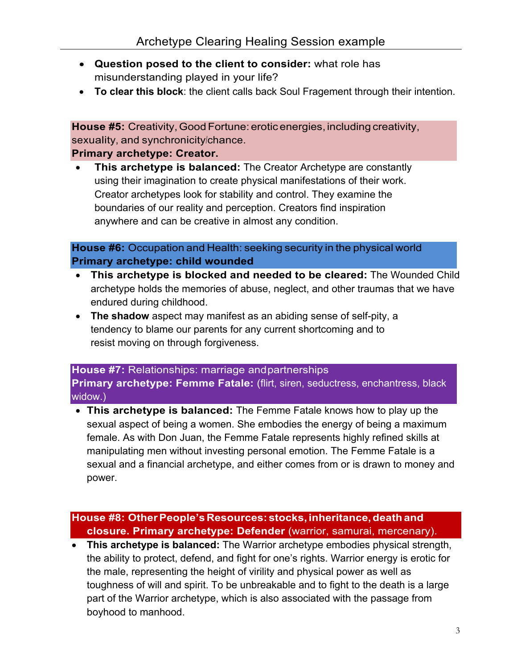- **Question posed to the client to consider:** what role has misunderstanding played in your life?
- **To clear this block**: the client calls back Soul Fragement through their intention.

**House #5:** Creativity, Good Fortune: erotic energies, including creativity, sexuality, and synchronicity/chance.

#### **Primary archetype: Creator.**

• **This archetype is balanced:** The Creator Archetype are constantly using their imagination to create physical manifestations of their work. Creator archetypes look for stability and control. They examine the boundaries of our reality and perception. Creators find inspiration anywhere and can be creative in almost any condition.

**House #6:** Occupation and Health: seeking security in the physical world **Primary archetype: child wounded**

- **This archetype is blocked and needed to be cleared:** The Wounded Child archetype holds the memories of abuse, neglect, and other traumas that we have endured during childhood.
- **The shadow** aspect may manifest as an abiding sense of self-pity, a tendency to blame our parents for any current shortcoming and to resist moving on through forgiveness.

**House #7:** Relationships: marriage andpartnerships **Primary archetype: Femme Fatale:** (flirt, siren, seductress, enchantress, black widow.)

• **This archetype is balanced:** The Femme Fatale knows how to play up the sexual aspect of being a women. She embodies the energy of being a maximum female. As with Don Juan, the Femme Fatale represents highly refined skills at manipulating men without investing personal emotion. The Femme Fatale is a sexual and a financial archetype, and either comes from or is drawn to money and power.

**House #8: OtherPeople'sResources: stocks, inheritance,deathand closure. Primary archetype: Defender** (warrior, samurai, mercenary).

• **This archetype is balanced:** The Warrior archetype embodies physical strength, the ability to protect, defend, and fight for one's rights. Warrior energy is erotic for the male, representing the height of virility and physical power as well as toughness of will and spirit. To be unbreakable and to fight to the death is a large part of the Warrior archetype, which is also associated with the passage from boyhood to manhood.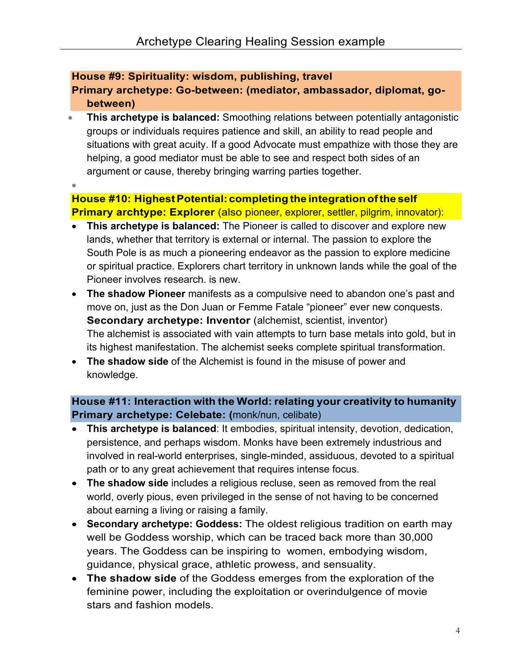### **House #9: Spirituality: wisdom, publishing, travel**

**Primary archetype: Go-between: (mediator, ambassador, diplomat, gobetween)**

- **This archetype is balanced:** Smoothing relations between potentially antagonistic groups or individuals requires patience and skill, an ability to read people and situations with great acuity. If a good Advocate must empathize with those they are helping, a good mediator must be able to see and respect both sides of an argument or cause, thereby bringing warring parties together.
- •

# **House #10: HighestPotential: completing the integrationofthe self Primary archtype: Explorer** (also pioneer, explorer, settler, pilgrim, innovator):

- **This archetype is balanced:** The Pioneer is called to discover and explore new lands, whether that territory is external or internal. The passion to explore the South Pole is as much a pioneering endeavor as the passion to explore medicine or spiritual practice. Explorers chart territory in unknown lands while the goal of the Pioneer involves research. is new.
- **The shadow Pioneer** manifests as a compulsive need to abandon one's past and move on, just as the Don Juan or Femme Fatale "pioneer" ever new conquests. **Secondary archetype: Inventor** (alchemist, scientist, inventor) The alchemist is associated with vain attempts to turn base metals into gold, but in its highest manifestation. The alchemist seeks complete spiritual transformation.
- **The shadow side** of the Alchemist is found in the misuse of power and knowledge.

## **House #11: Interaction with the World: relating your creativity to humanity Primary archetype: Celebate: (**monk/nun, celibate)

- **This archetype is balanced**: It embodies, spiritual intensity, devotion, dedication, persistence, and perhaps wisdom. Monks have been extremely industrious and involved in real-world enterprises, single-minded, assiduous, devoted to a spiritual path or to any great achievement that requires intense focus.
- **The shadow side** includes a religious recluse, seen as removed from the real world, overly pious, even privileged in the sense of not having to be concerned about earning a living or raising a family.
- **Secondary archetype: Goddess:** The oldest religious tradition on earth may well be Goddess worship, which can be traced back more than 30,000 years. The Goddess can be inspiring to women, embodying wisdom, guidance, physical grace, athletic prowess, and sensuality.
- **The shadow side** of the Goddess emerges from the exploration of the feminine power, including the exploitation or overindulgence of movie stars and fashion models.